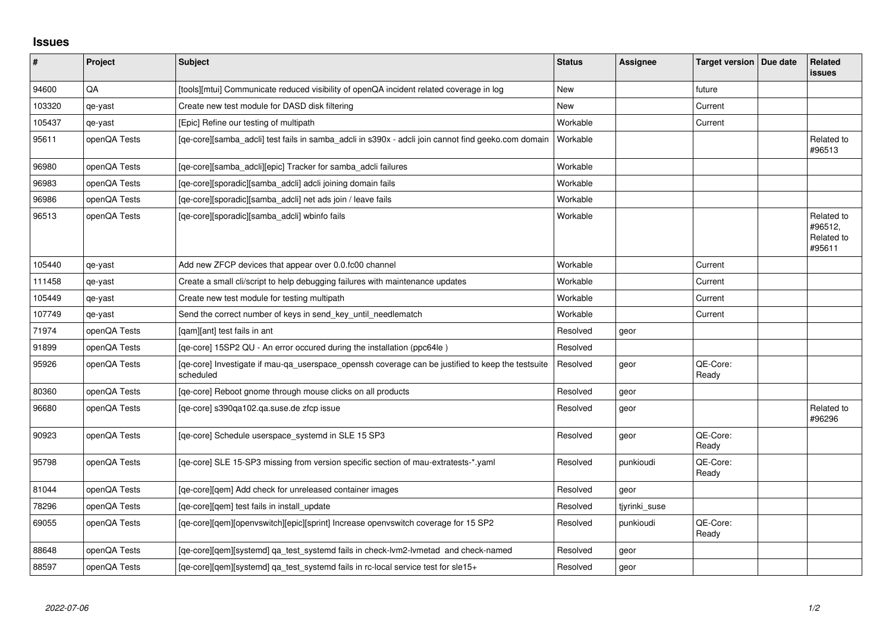## **Issues**

| $\pmb{\#}$ | Project      | <b>Subject</b>                                                                                                 | <b>Status</b> | <b>Assignee</b> | <b>Target version</b> | Due date | Related<br><b>issues</b>                      |
|------------|--------------|----------------------------------------------------------------------------------------------------------------|---------------|-----------------|-----------------------|----------|-----------------------------------------------|
| 94600      | QA           | [tools][mtui] Communicate reduced visibility of openQA incident related coverage in log                        | <b>New</b>    |                 | future                |          |                                               |
| 103320     | qe-yast      | Create new test module for DASD disk filtering                                                                 | New           |                 | Current               |          |                                               |
| 105437     | qe-yast      | [Epic] Refine our testing of multipath                                                                         | Workable      |                 | Current               |          |                                               |
| 95611      | openQA Tests | [qe-core][samba_adcli] test fails in samba_adcli in s390x - adcli join cannot find geeko.com domain            | Workable      |                 |                       |          | Related to<br>#96513                          |
| 96980      | openQA Tests | [qe-core][samba_adcli][epic] Tracker for samba_adcli failures                                                  | Workable      |                 |                       |          |                                               |
| 96983      | openQA Tests | [qe-core][sporadic][samba_adcli] adcli joining domain fails                                                    | Workable      |                 |                       |          |                                               |
| 96986      | openQA Tests | [qe-core][sporadic][samba_adcli] net ads join / leave fails                                                    | Workable      |                 |                       |          |                                               |
| 96513      | openQA Tests | [qe-core][sporadic][samba_adcli] wbinfo fails                                                                  | Workable      |                 |                       |          | Related to<br>#96512,<br>Related to<br>#95611 |
| 105440     | qe-yast      | Add new ZFCP devices that appear over 0.0.fc00 channel                                                         | Workable      |                 | Current               |          |                                               |
| 111458     | qe-yast      | Create a small cli/script to help debugging failures with maintenance updates                                  | Workable      |                 | Current               |          |                                               |
| 105449     | qe-yast      | Create new test module for testing multipath                                                                   | Workable      |                 | Current               |          |                                               |
| 107749     | qe-yast      | Send the correct number of keys in send_key_until_needlematch                                                  | Workable      |                 | Current               |          |                                               |
| 71974      | openQA Tests | [qam][ant] test fails in ant                                                                                   | Resolved      | geor            |                       |          |                                               |
| 91899      | openQA Tests | [qe-core] 15SP2 QU - An error occured during the installation (ppc64le)                                        | Resolved      |                 |                       |          |                                               |
| 95926      | openQA Tests | [qe-core] Investigate if mau-qa_userspace_openssh coverage can be justified to keep the testsuite<br>scheduled | Resolved      | geor            | QE-Core:<br>Ready     |          |                                               |
| 80360      | openQA Tests | [qe-core] Reboot gnome through mouse clicks on all products                                                    | Resolved      | geor            |                       |          |                                               |
| 96680      | openQA Tests | [qe-core] s390qa102.qa.suse.de zfcp issue                                                                      | Resolved      | geor            |                       |          | Related to<br>#96296                          |
| 90923      | openQA Tests | [qe-core] Schedule userspace_systemd in SLE 15 SP3                                                             | Resolved      | geor            | QE-Core:<br>Ready     |          |                                               |
| 95798      | openQA Tests | [qe-core] SLE 15-SP3 missing from version specific section of mau-extratests-*.yaml                            | Resolved      | punkioudi       | QE-Core:<br>Ready     |          |                                               |
| 81044      | openQA Tests | [ge-core][gem] Add check for unreleased container images                                                       | Resolved      | geor            |                       |          |                                               |
| 78296      | openQA Tests | [qe-core][qem] test fails in install_update                                                                    | Resolved      | tiyrinki suse   |                       |          |                                               |
| 69055      | openQA Tests | [qe-core][qem][openvswitch][epic][sprint] Increase openvswitch coverage for 15 SP2                             | Resolved      | punkioudi       | QE-Core:<br>Ready     |          |                                               |
| 88648      | openQA Tests | [qe-core][qem][systemd] qa_test_systemd fails in check-lvm2-lvmetad and check-named                            | Resolved      | geor            |                       |          |                                               |
| 88597      | openQA Tests | [ge-core][gem][systemd] ga test systemd fails in rc-local service test for sle15+                              | Resolved      | geor            |                       |          |                                               |